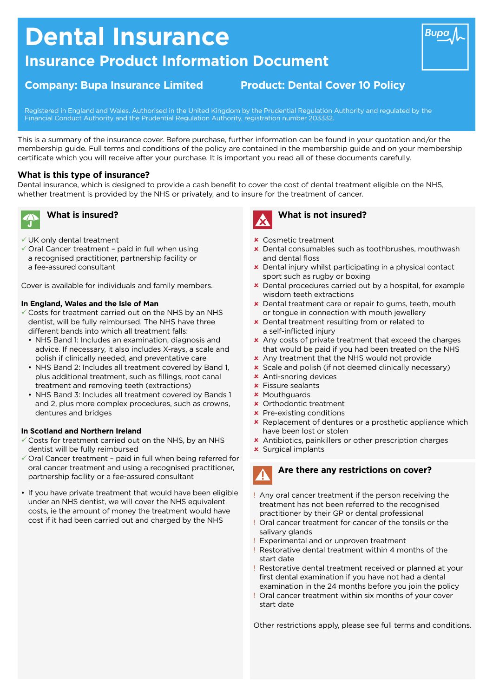# **Dental Insurance**

# **Insurance Product Information Document**

## **Company: Bupa Insurance Limited Product: Dental Cover 10 Policy**

Registered in England and Wales. Authorised in the United Kingdom by the Prudential Regulation Authority and regulated by the Financial Conduct Authority and the Prudential Regulation Authority, registration number 203332.

This is a summary of the insurance cover. Before purchase, further information can be found in your quotation and/or the membership guide. Full terms and conditions of the policy are contained in the membership guide and on your membership certifcate which you will receive after your purchase. It is important you read all of these documents carefully.

### **What is this type of insurance?**

Dental insurance, which is designed to provide a cash beneft to cover the cost of dental treatment eligible on the NHS, whether treatment is provided by the NHS or privately, and to insure for the treatment of cancer.



# **What is insured?**

- $\checkmark$  UK only dental treatment
- $\checkmark$  Oral Cancer treatment paid in full when using a recognised practitioner, partnership facility or a fee-assured consultant

Cover is available for individuals and family members.

#### **In England, Wales and the Isle of Man**

- $\checkmark$  Costs for treatment carried out on the NHS by an NHS dentist, will be fully reimbursed. The NHS have three different bands into which all treatment falls:
	- NHS Band 1: Includes an examination, diagnosis and advice. If necessary, it also includes X-rays, a scale and polish if clinically needed, and preventative care
	- NHS Band 2: Includes all treatment covered by Band 1, plus additional treatment, such as fllings, root canal treatment and removing teeth (extractions)
	- NHS Band 3: Includes all treatment covered by Bands 1 and 2, plus more complex procedures, such as crowns, dentures and bridges

#### **In Scotland and Northern Ireland**

- $\checkmark$  Costs for treatment carried out on the NHS, by an NHS dentist will be fully reimbursed
- $\checkmark$  Oral Cancer treatment paid in full when being referred for oral cancer treatment and using a recognised practitioner, partnership facility or a fee-assured consultant
- If you have private treatment that would have been eligible under an NHS dentist, we will cover the NHS equivalent costs, ie the amount of money the treatment would have cost if it had been carried out and charged by the NHS



### **What is not insured?**

- $\times$  Cosmetic treatment
- **x** Dental consumables such as toothbrushes, mouthwash and dental floss
- **x** Dental injury whilst participating in a physical contact sport such as rugby or boxing
- **x** Dental procedures carried out by a hospital, for example wisdom teeth extractions
- **x** Dental treatment care or repair to gums, teeth, mouth or tongue in connection with mouth jewellery
- **x** Dental treatment resulting from or related to a self-inficted injury
- \* Any costs of private treatment that exceed the charges that would be paid if you had been treated on the NHS
- **x** Any treatment that the NHS would not provide
- $\star$  Scale and polish (if not deemed clinically necessary)
- $\times$  Anti-snoring devices
- $\times$  Fissure sealants
- **x** Mouthquards
- **x** Orthodontic treatment
- $x$  Pre-existing conditions
- **\*** Replacement of dentures or a prosthetic appliance which have been lost or stolen
- **\*** Antibiotics, painkillers or other prescription charges
- **x** Surgical implants

Are **Are there any restrictions on cover?** 

- ! Any oral cancer treatment if the person receiving the treatment has not been referred to the recognised practitioner by their GP or dental professional
- ! Oral cancer treatment for cancer of the tonsils or the salivary glands
- Experimental and or unproven treatment
- Restorative dental treatment within 4 months of the start date
- ! Restorative dental treatment received or planned at your frst dental examination if you have not had a dental examination in the 24 months before you join the policy
- Oral cancer treatment within six months of your cover start date

Other restrictions apply, please see full terms and conditions.